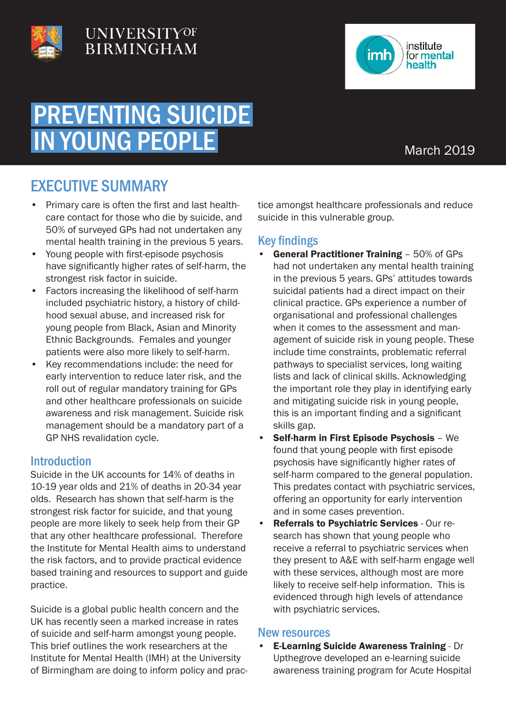

## UNIVERSITYOF **BIRMINGHAM**



## PREVENTING SUICIDE IN YOUNG PEOPLE

### March 2019

## EXECUTIVE SUMMARY

- Primary care is often the first and last healthcare contact for those who die by suicide, and 50% of surveyed GPs had not undertaken any mental health training in the previous 5 years.
- Young people with first-episode psychosis have significantly higher rates of self-harm, the strongest risk factor in suicide.
- Factors increasing the likelihood of self-harm included psychiatric history, a history of childhood sexual abuse, and increased risk for young people from Black, Asian and Minority Ethnic Backgrounds. Females and younger patients were also more likely to self-harm.
- Key recommendations include: the need for early intervention to reduce later risk, and the roll out of regular mandatory training for GPs and other healthcare professionals on suicide awareness and risk management. Suicide risk management should be a mandatory part of a GP NHS revalidation cycle.

#### **Introduction**

Suicide in the UK accounts for 14% of deaths in 10-19 year olds and 21% of deaths in 20-34 year olds. Research has shown that self-harm is the strongest risk factor for suicide, and that young people are more likely to seek help from their GP that any other healthcare professional. Therefore the Institute for Mental Health aims to understand the risk factors, and to provide practical evidence based training and resources to support and guide practice.

Suicide is a global public health concern and the UK has recently seen a marked increase in rates of suicide and self-harm amongst young people. This brief outlines the work researchers at the Institute for Mental Health (IMH) at the University of Birmingham are doing to inform policy and practice amongst healthcare professionals and reduce suicide in this vulnerable group.

#### Key findings

- General Practitioner Training 50% of GPs had not undertaken any mental health training in the previous 5 years. GPs' attitudes towards suicidal patients had a direct impact on their clinical practice. GPs experience a number of organisational and professional challenges when it comes to the assessment and management of suicide risk in young people. These include time constraints, problematic referral pathways to specialist services, long waiting lists and lack of clinical skills. Acknowledging the important role they play in identifying early and mitigating suicide risk in young people, this is an important finding and a significant skills gap.
- Self-harm in First Episode Psychosis We found that young people with first episode psychosis have significantly higher rates of self-harm compared to the general population. This predates contact with psychiatric services, offering an opportunity for early intervention and in some cases prevention.
- Referrals to Psychiatric Services Our research has shown that young people who receive a referral to psychiatric services when they present to A&E with self-harm engage well with these services, although most are more likely to receive self-help information. This is evidenced through high levels of attendance with psychiatric services.

#### New resources

• E-Learning Suicide Awareness Training - Dr Upthegrove developed an e-learning suicide awareness training program for Acute Hospital